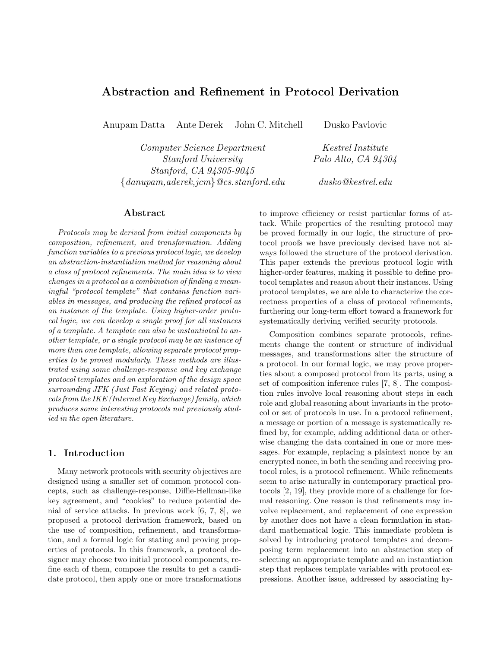# Abstraction and Refinement in Protocol Derivation

Anupam Datta Ante Derek John C. Mitchell Dusko Pavlovic

Computer Science Department Kestrel Institute Stanford University Palo Alto, CA 94304 Stanford, CA 94305-9045  ${d}$ danupam,aderek,jcm ${Qcs.stanford.edu}$  dusko ${Qkestrel.edu}$ 

# Abstract

Protocols may be derived from initial components by composition, refinement, and transformation. Adding function variables to a previous protocol logic, we develop an abstraction-instantiation method for reasoning about a class of protocol refinements. The main idea is to view changes in a protocol as a combination of finding a meaningful "protocol template" that contains function variables in messages, and producing the refined protocol as an instance of the template. Using higher-order protocol logic, we can develop a single proof for all instances of a template. A template can also be instantiated to another template, or a single protocol may be an instance of more than one template, allowing separate protocol properties to be proved modularly. These methods are illustrated using some challenge-response and key exchange protocol templates and an exploration of the design space surrounding JFK (Just Fast Keying) and related protocols from the IKE (Internet Key Exchange) family, which produces some interesting protocols not previously studied in the open literature.

### 1. Introduction

Many network protocols with security objectives are designed using a smaller set of common protocol concepts, such as challenge-response, Diffie-Hellman-like key agreement, and "cookies" to reduce potential denial of service attacks. In previous work [6, 7, 8], we proposed a protocol derivation framework, based on the use of composition, refinement, and transformation, and a formal logic for stating and proving properties of protocols. In this framework, a protocol designer may choose two initial protocol components, refine each of them, compose the results to get a candidate protocol, then apply one or more transformations

to improve efficiency or resist particular forms of attack. While properties of the resulting protocol may be proved formally in our logic, the structure of protocol proofs we have previously devised have not always followed the structure of the protocol derivation. This paper extends the previous protocol logic with higher-order features, making it possible to define protocol templates and reason about their instances. Using protocol templates, we are able to characterize the correctness properties of a class of protocol refinements, furthering our long-term effort toward a framework for systematically deriving verified security protocols.

Composition combines separate protocols, refinements change the content or structure of individual messages, and transformations alter the structure of a protocol. In our formal logic, we may prove properties about a composed protocol from its parts, using a set of composition inference rules [7, 8]. The composition rules involve local reasoning about steps in each role and global reasoning about invariants in the protocol or set of protocols in use. In a protocol refinement, a message or portion of a message is systematically refined by, for example, adding additional data or otherwise changing the data contained in one or more messages. For example, replacing a plaintext nonce by an encrypted nonce, in both the sending and receiving protocol roles, is a protocol refinement. While refinements seem to arise naturally in contemporary practical protocols [2, 19], they provide more of a challenge for formal reasoning. One reason is that refinements may involve replacement, and replacement of one expression by another does not have a clean formulation in standard mathematical logic. This immediate problem is solved by introducing protocol templates and decomposing term replacement into an abstraction step of selecting an appropriate template and an instantiation step that replaces template variables with protocol expressions. Another issue, addressed by associating hy-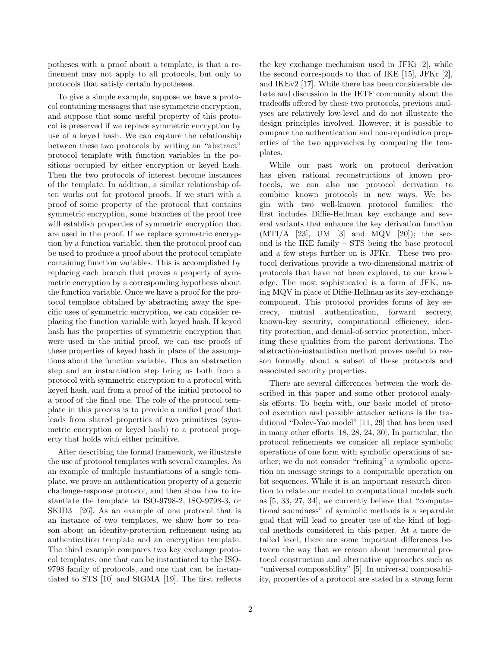potheses with a proof about a template, is that a refinement may not apply to all protocols, but only to protocols that satisfy certain hypotheses.

To give a simple example, suppose we have a protocol containing messages that use symmetric encryption, and suppose that some useful property of this protocol is preserved if we replace symmetric encryption by use of a keyed hash. We can capture the relationship between these two protocols by writing an "abstract" protocol template with function variables in the positions occupied by either encryption or keyed hash. Then the two protocols of interest become instances of the template. In addition, a similar relationship often works out for protocol proofs. If we start with a proof of some property of the protocol that contains symmetric encryption, some branches of the proof tree will establish properties of symmetric encryption that are used in the proof. If we replace symmetric encryption by a function variable, then the protocol proof can be used to produce a proof about the protocol template containing function variables. This is accomplished by replacing each branch that proves a property of symmetric encryption by a corresponding hypothesis about the function variable. Once we have a proof for the protocol template obtained by abstracting away the specific uses of symmetric encryption, we can consider replacing the function variable with keyed hash. If keyed hash has the properties of symmetric encryption that were used in the initial proof, we can use proofs of these properties of keyed hash in place of the assumptions about the function variable. Thus an abstraction step and an instantiation step bring us both from a protocol with symmetric encryption to a protocol with keyed hash, and from a proof of the initial protocol to a proof of the final one. The role of the protocol template in this process is to provide a unified proof that leads from shared properties of two primitives (symmetric encryption or keyed hash) to a protocol property that holds with either primitive.

After describing the formal framework, we illustrate the use of protocol templates with several examples. As an example of multiple instantiations of a single template, we prove an authentication property of a generic challenge-response protocol, and then show how to instantiate the template to ISO-9798-2, ISO-9798-3, or SKID3 [26]. As an example of one protocol that is an instance of two templates, we show how to reason about an identity-protection refinement using an authentication template and an encryption template. The third example compares two key exchange protocol templates, one that can be instantiated to the ISO-9798 family of protocols, and one that can be instantiated to STS [10] and SIGMA [19]. The first reflects

the key exchange mechanism used in JFKi [2], while the second corresponds to that of IKE [15], JFKr [2], and IKEv2 [17]. While there has been considerable debate and discussion in the IETF community about the tradeoffs offered by these two protocols, previous analyses are relatively low-level and do not illustrate the design principles involved. However, it is possible to compare the authentication and non-repudiation properties of the two approaches by comparing the templates.

While our past work on protocol derivation has given rational reconstructions of known protocols, we can also use protocol derivation to combine known protocols in new ways. We begin with two well-known protocol families: the first includes Diffie-Hellman key exchange and several variants that enhance the key derivation function  $(MTI/A [23], UM [3] and MQV [20]); the sec$ ond is the IKE family – STS being the base protocol and a few steps further on is JFKr. These two protocol derivations provide a two-dimensional matrix of protocols that have not been explored, to our knowledge. The most sophisticated is a form of JFK, using MQV in place of Diffie-Hellman as its key-exchange component. This protocol provides forms of key secrecy, mutual authentication, forward secrecy, known-key security, computational efficiency, identity protection, and denial-of-service protection, inheriting these qualities from the parent derivations. The abstraction-instantiation method proves useful to reason formally about a subset of these protocols and associated security properties.

There are several differences between the work described in this paper and some other protocol analysis efforts. To begin with, our basic model of protocol execution and possible attacker actions is the traditional "Dolev-Yao model" [11, 29] that has been used in many other efforts [18, 28, 24, 30]. In particular, the protocol refinements we consider all replace symbolic operations of one form with symbolic operations of another; we do not consider "refining" a symbolic operation on message strings to a computable operation on bit sequences. While it is an important research direction to relate our model to computational models such as [5, 33, 27, 34], we currently believe that "computational soundness" of symbolic methods is a separable goal that will lead to greater use of the kind of logical methods considered in this paper. At a more detailed level, there are some important differences between the way that we reason about incremental protocol construction and alternative approaches such as "universal composability" [5]. In universal composability, properties of a protocol are stated in a strong form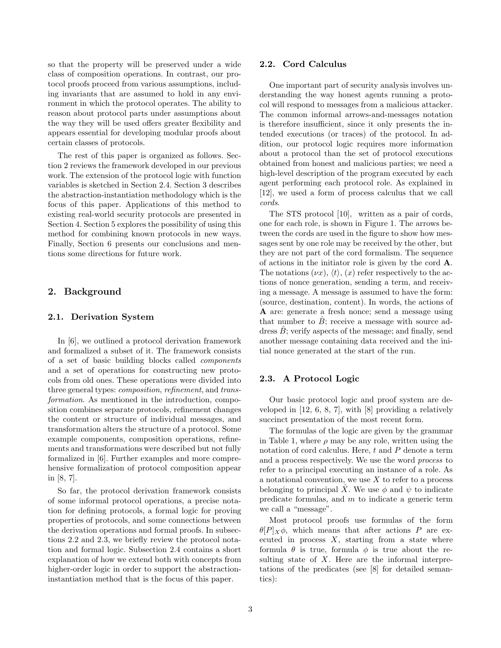so that the property will be preserved under a wide class of composition operations. In contrast, our protocol proofs proceed from various assumptions, including invariants that are assumed to hold in any environment in which the protocol operates. The ability to reason about protocol parts under assumptions about the way they will be used offers greater flexibility and appears essential for developing modular proofs about certain classes of protocols.

The rest of this paper is organized as follows. Section 2 reviews the framework developed in our previous work. The extension of the protocol logic with function variables is sketched in Section 2.4. Section 3 describes the abstraction-instantiation methodology which is the focus of this paper. Applications of this method to existing real-world security protocols are presented in Section 4. Section 5 explores the possibility of using this method for combining known protocols in new ways. Finally, Section 6 presents our conclusions and mentions some directions for future work.

### 2. Background

#### 2.1. Derivation System

In [6], we outlined a protocol derivation framework and formalized a subset of it. The framework consists of a set of basic building blocks called components and a set of operations for constructing new protocols from old ones. These operations were divided into three general types: composition, refinement, and transformation. As mentioned in the introduction, composition combines separate protocols, refinement changes the content or structure of individual messages, and transformation alters the structure of a protocol. Some example components, composition operations, refinements and transformations were described but not fully formalized in [6]. Further examples and more comprehensive formalization of protocol composition appear in [8, 7].

So far, the protocol derivation framework consists of some informal protocol operations, a precise notation for defining protocols, a formal logic for proving properties of protocols, and some connections between the derivation operations and formal proofs. In subsections 2.2 and 2.3, we briefly review the protocol notation and formal logic. Subsection 2.4 contains a short explanation of how we extend both with concepts from higher-order logic in order to support the abstractioninstantiation method that is the focus of this paper.

#### 2.2. Cord Calculus

One important part of security analysis involves understanding the way honest agents running a protocol will respond to messages from a malicious attacker. The common informal arrows-and-messages notation is therefore insufficient, since it only presents the intended executions (or traces) of the protocol. In addition, our protocol logic requires more information about a protocol than the set of protocol executions obtained from honest and malicious parties; we need a high-level description of the program executed by each agent performing each protocol role. As explained in [12], we used a form of process calculus that we call cords.

The STS protocol [10], written as a pair of cords, one for each role, is shown in Figure 1. The arrows between the cords are used in the figure to show how messages sent by one role may be received by the other, but they are not part of the cord formalism. The sequence of actions in the initiator role is given by the cord A. The notations  $(\nu x)$ ,  $\langle t \rangle$ ,  $(x)$  refer respectively to the actions of nonce generation, sending a term, and receiving a message. A message is assumed to have the form: (source, destination, content). In words, the actions of A are: generate a fresh nonce; send a message using that number to  $B$ ; receive a message with source address  $\hat{B}$ ; verify aspects of the message; and finally, send another message containing data received and the initial nonce generated at the start of the run.

#### 2.3. A Protocol Logic

Our basic protocol logic and proof system are developed in [12, 6, 8, 7], with [8] providing a relatively succinct presentation of the most recent form.

The formulas of the logic are given by the grammar in Table 1, where  $\rho$  may be any role, written using the notation of cord calculus. Here,  $t$  and  $P$  denote a term and a process respectively. We use the word process to refer to a principal executing an instance of a role. As a notational convention, we use  $X$  to refer to a process belonging to principal X. We use  $\phi$  and  $\psi$  to indicate predicate formulas, and m to indicate a generic term we call a "message".

Most protocol proofs use formulas of the form  $\theta[P]_X\phi$ , which means that after actions P are executed in process  $X$ , starting from a state where formula  $\theta$  is true, formula  $\phi$  is true about the resulting state of  $X$ . Here are the informal interpretations of the predicates (see [8] for detailed semantics):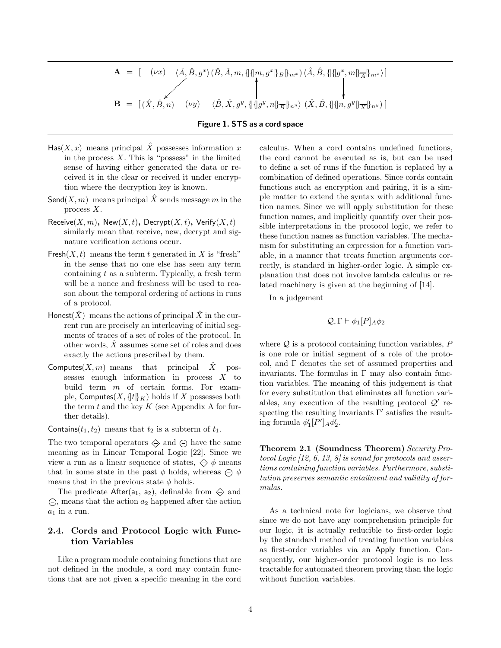$$
\mathbf{A} = [ (\nu x) \langle \hat{A}, \hat{B}, g^x \rangle (\hat{B}, \hat{A}, m, \{\|\{m, g^x\}_{B}\}_{m^x}) \langle \hat{A}, \hat{B}, \{\|\{g^x, m\}_{\overline{A}}\}_{m^x} \rangle ]
$$
  

$$
\mathbf{B} = [ (\hat{X}, \hat{B}, n) \quad (\nu y) \quad \langle \hat{B}, \hat{X}, g^y, \{\|\{g^y, n\}_{\overline{B}}\}_{n^y} \rangle (\hat{X}, \hat{B}, \{\|\{n, g^y\}_{\overline{X}}\}_{n^y}) ]
$$

#### Figure 1. STS as a cord space

- $\textsf{Has}(X, x)$  means principal  $\hat{X}$  possesses information x in the process  $X$ . This is "possess" in the limited sense of having either generated the data or received it in the clear or received it under encryption where the decryption key is known.
- Send $(X, m)$  means principal X sends message m in the process X.
- Receive $(X, m)$ , New $(X, t)$ , Decrypt $(X, t)$ , Verify $(X, t)$ similarly mean that receive, new, decrypt and signature verification actions occur.
- Fresh $(X, t)$  means the term t generated in X is "fresh" in the sense that no one else has seen any term containing  $t$  as a subterm. Typically, a fresh term will be a nonce and freshness will be used to reason about the temporal ordering of actions in runs of a protocol.
- Honest( $\hat{X}$ ) means the actions of principal  $\hat{X}$  in the current run are precisely an interleaving of initial segments of traces of a set of roles of the protocol. In other words,  $X$  assumes some set of roles and does exactly the actions prescribed by them.
- Computes $(X, m)$  means that principal  $\overline{X}$  possesses enough information in process X to build term m of certain forms. For example, Computes $(X, \{t\}_{K})$  holds if X possesses both the term  $t$  and the key  $K$  (see Appendix A for further details).

Contains( $t_1, t_2$ ) means that  $t_2$  is a subterm of  $t_1$ .

The two temporal operators  $\Diamond$  and  $\ominus$  have the same meaning as in Linear Temporal Logic [22]. Since we view a run as a linear sequence of states,  $\Diamond \phi$  means that in some state in the past  $\phi$  holds, whereas  $\Theta$   $\phi$ means that in the previous state  $\phi$  holds.

The predicate After( $a_1$ ,  $a_2$ ), definable from  $\Leftrightarrow$  and  $\ominus$ , means that the action  $a_2$  happened after the action  $a_1$  in a run.

# 2.4. Cords and Protocol Logic with Function Variables

Like a program module containing functions that are not defined in the module, a cord may contain functions that are not given a specific meaning in the cord calculus. When a cord contains undefined functions, the cord cannot be executed as is, but can be used to define a set of runs if the function is replaced by a combination of defined operations. Since cords contain functions such as encryption and pairing, it is a simple matter to extend the syntax with additional function names. Since we will apply substitution for these function names, and implicitly quantify over their possible interpretations in the protocol logic, we refer to these function names as function variables. The mechanism for substituting an expression for a function variable, in a manner that treats function arguments correctly, is standard in higher-order logic. A simple explanation that does not involve lambda calculus or related machinery is given at the beginning of [14].

In a judgement

$$
Q, \Gamma \vdash \phi_1[P]_A \phi_2
$$

where  $Q$  is a protocol containing function variables,  $P$ is one role or initial segment of a role of the protocol, and Γ denotes the set of assumed properties and invariants. The formulas in  $\Gamma$  may also contain function variables. The meaning of this judgement is that for every substitution that eliminates all function variables, any execution of the resulting protocol  $\mathcal{Q}'$  respecting the resulting invariants  $\Gamma'$  satisfies the resulting formula  $\phi'_1[P']_A \phi'_2$ .

Theorem 2.1 (Soundness Theorem) Security Protocol Logic [12, 6, 13, 8] is sound for protocols and assertions containing function variables. Furthermore, substitution preserves semantic entailment and validity of formulas.

As a technical note for logicians, we observe that since we do not have any comprehension principle for our logic, it is actually reducible to first-order logic by the standard method of treating function variables as first-order variables via an Apply function. Consequently, our higher-order protocol logic is no less tractable for automated theorem proving than the logic without function variables.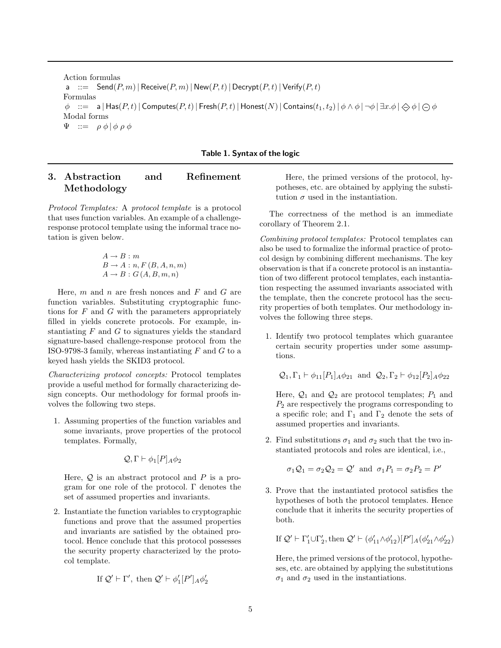Action formulas a  $:=$  Send $(P, m)$  | Receive $(P, m)$  | New $(P, t)$  | Decrypt $(P, t)$  | Verify $(P, t)$ Formulas  $\phi$  ::= a | Has $(P, t)$  | Computes $(P, t)$  | Fresh $(P, t)$  | Honest $(N)$  | Contains $(t_1, t_2)$  |  $\phi \wedge \phi$  |  $\neg \phi$  |  $\Rightarrow \phi$  |  $\ominus \phi$ Modal forms  $\Psi$  ::=  $\rho \phi | \phi \rho \phi$ 

Table 1. Syntax of the logic

# 3. Abstraction and Refinement Methodology

Protocol Templates: A protocol template is a protocol that uses function variables. An example of a challengeresponse protocol template using the informal trace notation is given below.

$$
A \rightarrow B : m
$$
  
\n
$$
B \rightarrow A : n, F (B, A, n, m)
$$
  
\n
$$
A \rightarrow B : G (A, B, m, n)
$$

Here,  $m$  and  $n$  are fresh nonces and  $F$  and  $G$  are function variables. Substituting cryptographic functions for  $F$  and  $G$  with the parameters appropriately filled in yields concrete protocols. For example, instantiating  $F$  and  $G$  to signatures yields the standard signature-based challenge-response protocol from the ISO-9798-3 family, whereas instantiating  $F$  and  $G$  to a keyed hash yields the SKID3 protocol.

Characterizing protocol concepts: Protocol templates provide a useful method for formally characterizing design concepts. Our methodology for formal proofs involves the following two steps.

1. Assuming properties of the function variables and some invariants, prove properties of the protocol templates. Formally,

$$
\mathcal{Q}, \Gamma \vdash \phi_1[P]_A \phi_2
$$

Here,  $Q$  is an abstract protocol and  $P$  is a program for one role of the protocol. Γ denotes the set of assumed properties and invariants.

2. Instantiate the function variables to cryptographic functions and prove that the assumed properties and invariants are satisfied by the obtained protocol. Hence conclude that this protocol possesses the security property characterized by the protocol template.

If 
$$
Q' \vdash \Gamma'
$$
, then  $Q' \vdash \phi'_1[P']_A \phi'_2$ 

Here, the primed versions of the protocol, hypotheses, etc. are obtained by applying the substitution  $\sigma$  used in the instantiation.

The correctness of the method is an immediate corollary of Theorem 2.1.

Combining protocol templates: Protocol templates can also be used to formalize the informal practice of protocol design by combining different mechanisms. The key observation is that if a concrete protocol is an instantiation of two different protocol templates, each instantiation respecting the assumed invariants associated with the template, then the concrete protocol has the security properties of both templates. Our methodology involves the following three steps.

1. Identify two protocol templates which guarantee certain security properties under some assumptions.

$$
Q_1, \Gamma_1 \vdash \phi_{11}[P_1]_A \phi_{21}
$$
 and  $Q_2, \Gamma_2 \vdash \phi_{12}[P_2]_A \phi_{22}$ 

Here,  $\mathcal{Q}_1$  and  $\mathcal{Q}_2$  are protocol templates;  $P_1$  and  $P_2$  are respectively the programs corresponding to a specific role; and  $\Gamma_1$  and  $\Gamma_2$  denote the sets of assumed properties and invariants.

2. Find substitutions  $\sigma_1$  and  $\sigma_2$  such that the two instantiated protocols and roles are identical, i.e.,

$$
\sigma_1 \mathcal{Q}_1 = \sigma_2 \mathcal{Q}_2 = \mathcal{Q}'
$$
 and  $\sigma_1 P_1 = \sigma_2 P_2 = P'$ 

3. Prove that the instantiated protocol satisfies the hypotheses of both the protocol templates. Hence conclude that it inherits the security properties of both.

If 
$$
Q' \vdash \Gamma'_1 \cup \Gamma'_2
$$
, then  $Q' \vdash (\phi'_{11} \land \phi'_{12})[P']_A(\phi'_{21} \land \phi'_{22})$ 

Here, the primed versions of the protocol, hypotheses, etc. are obtained by applying the substitutions  $\sigma_1$  and  $\sigma_2$  used in the instantiations.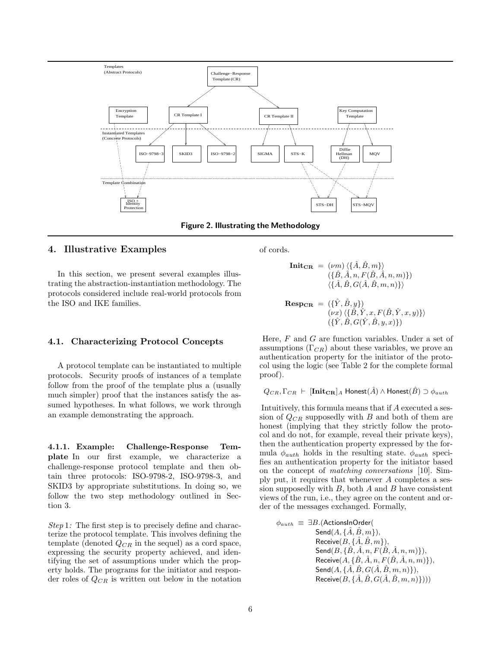

Figure 2. Illustrating the Methodology

# 4. Illustrative Examples

In this section, we present several examples illustrating the abstraction-instantiation methodology. The protocols considered include real-world protocols from the ISO and IKE families.

#### 4.1. Characterizing Protocol Concepts

A protocol template can be instantiated to multiple protocols. Security proofs of instances of a template follow from the proof of the template plus a (usually much simpler) proof that the instances satisfy the assumed hypotheses. In what follows, we work through an example demonstrating the approach.

4.1.1. Example: Challenge-Response Template In our first example, we characterize a challenge-response protocol template and then obtain three protocols: ISO-9798-2, ISO-9798-3, and SKID3 by appropriate substitutions. In doing so, we follow the two step methodology outlined in Section 3.

Step 1: The first step is to precisely define and characterize the protocol template. This involves defining the template (denoted  $Q_{CR}$  in the sequel) as a cord space, expressing the security property achieved, and identifying the set of assumptions under which the property holds. The programs for the initiator and responder roles of  $Q_{CR}$  is written out below in the notation of cords.

$$
\begin{array}{rl}\textbf{Init}_{\textbf{CR}} & = \; (\nu m) \; \langle \{ \hat{A}, \hat{B}, m \} \rangle \\ & \; (\{ \hat{B}, \hat{A}, n, F(\hat{B}, \hat{A}, n, m) \}) \\ & \; \langle \{ \hat{A}, \hat{B}, G(\hat{A}, \hat{B}, m, n) \} \rangle \end{array}
$$

$$
\mathbf{Resp}_{\mathbf{CR}} = (\{\hat{Y}, \hat{B}, y\})
$$
  
\n
$$
(\nu x) \langle \{\hat{B}, \hat{Y}, x, F(\hat{B}, \hat{Y}, x, y)\} \rangle
$$
  
\n
$$
(\{\hat{Y}, \hat{B}, G(\hat{Y}, \hat{B}, y, x)\})
$$

Here, F and G are function variables. Under a set of assumptions  $(\Gamma_{CR})$  about these variables, we prove an authentication property for the initiator of the protocol using the logic (see Table 2 for the complete formal proof).

$$
Q_{CR}, \Gamma_{CR} \vdash [\mathbf{Init_{CR}}]_A \; \mathsf{Honest}(\hat{A}) \land \mathsf{Honest}(\hat{B}) \supset \phi_{auth}
$$

Intuitively, this formula means that if A executed a session of  $Q_{CR}$  supposedly with B and both of them are honest (implying that they strictly follow the protocol and do not, for example, reveal their private keys), then the authentication property expressed by the formula  $\phi_{auth}$  holds in the resulting state.  $\phi_{auth}$  specifies an authentication property for the initiator based on the concept of matching conversations [10]. Simply put, it requires that whenever A completes a session supposedly with  $B$ , both  $A$  and  $B$  have consistent views of the run, i.e., they agree on the content and order of the messages exchanged. Formally,

$$
\phi_{auth} \equiv \exists B. (\text{ActionsInOrder}(\\ \text{Send}(A, \{\hat{A}, \hat{B}, m\}),\\ \text{Receive}(B, \{\hat{A}, \hat{B}, m\}),\\ \text{Send}(B, \{\hat{B}, \hat{A}, n, F(\hat{B}, \hat{A}, n, m)\}),\\ \text{Receive}(A, \{\hat{B}, \hat{A}, n, F(\hat{B}, \hat{A}, n, m)\}),\\ \text{Send}(A, \{\hat{A}, \hat{B}, G(\hat{A}, \hat{B}, m, n)\}),\\ \text{Receive}(B, \{\hat{A}, \hat{B}, G(\hat{A}, \hat{B}, m, n)\})))
$$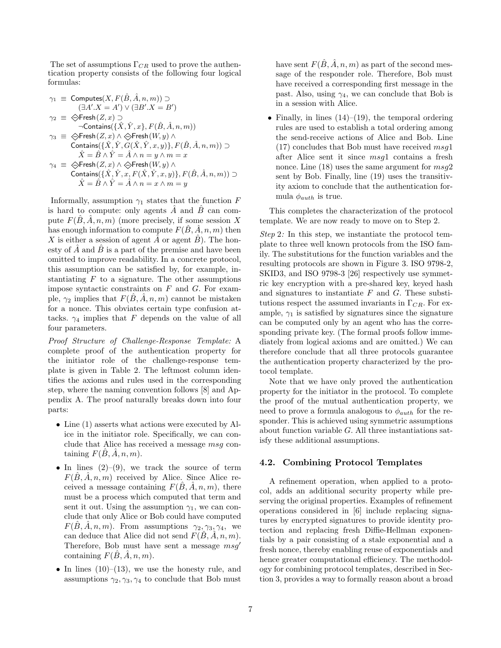The set of assumptions  $\Gamma_{CR}$  used to prove the authentication property consists of the following four logical formulas:

$$
\begin{array}{ll} \gamma_1 \; \equiv \; \mathsf{Computes}(X,F(\hat{B},\hat{A},n,m)) \supset \\ & (\exists A'.X=A') \vee (\exists B'.X=B') \\ \gamma_2 \; \equiv \; \diamondsuit \mathsf{Fresh}(Z,x) \supset \\ & \neg \mathsf{contains}(\{\hat{X},\hat{Y},x\},F(\hat{B},\hat{A},n,m)) \\ \gamma_3 \; \equiv \; \diamondsuit \mathsf{Fresh}(Z,x) \wedge \diamondsuit \mathsf{Fresh}(W,y) \wedge \\ & \mathsf{contains}(\{\hat{X},\hat{Y},G(\hat{X},\hat{Y},x,y)\},F(\hat{B},\hat{A},n,m)) \supset \\ & \hat{X} = \hat{B} \wedge \hat{Y} = \hat{A} \wedge n = y \wedge m = x \\ \gamma_4 \; \equiv \; \diamondsuit \mathsf{Fresh}(Z,x) \wedge \diamondsuit \mathsf{Fresh}(W,y) \wedge \\ & \mathsf{contains}(\{\hat{X},\hat{Y},x,F(\hat{X},\hat{Y},x,y)\},F(\hat{B},\hat{A},n,m)) \supset \\ & \hat{X} = \hat{B} \wedge \hat{Y} = \hat{A} \wedge n = x \wedge m = y \end{array}
$$

Informally, assumption  $\gamma_1$  states that the function F is hard to compute: only agents  $\hat{A}$  and  $\hat{B}$  can compute  $F(\hat{B}, \hat{A}, n, m)$  (more precisely, if some session X has enough information to compute  $F(\hat{B}, \hat{A}, n, m)$  then X is either a session of agent  $\hat{A}$  or agent  $\hat{B}$ ). The honesty of A and B is a part of the premise and have been omitted to improve readability. In a concrete protocol, this assumption can be satisfied by, for example, instantiating  $F$  to a signature. The other assumptions impose syntactic constraints on  $F$  and  $G$ . For example,  $\gamma_2$  implies that  $F(B, \tilde{A}, n, m)$  cannot be mistaken for a nonce. This obviates certain type confusion attacks.  $\gamma_4$  implies that F depends on the value of all four parameters.

Proof Structure of Challenge-Response Template: A complete proof of the authentication property for the initiator role of the challenge-response template is given in Table 2. The leftmost column identifies the axioms and rules used in the corresponding step, where the naming convention follows [8] and Appendix A. The proof naturally breaks down into four parts:

- Line (1) asserts what actions were executed by Alice in the initiator role. Specifically, we can conclude that Alice has received a message msg containing  $F(B, A, n, m)$ .
- In lines  $(2)-(9)$ , we track the source of term  $F(\hat{B}, \hat{A}, n, m)$  received by Alice. Since Alice received a message containing  $F(B, A, n, m)$ , there must be a process which computed that term and sent it out. Using the assumption  $\gamma_1$ , we can conclude that only Alice or Bob could have computed  $F(\hat{B}, \hat{A}, n, m)$ . From assumptions  $\gamma_2, \gamma_3, \gamma_4$ , we can deduce that Alice did not send  $F(B, A, n, m)$ . Therefore, Bob must have sent a message  $msq'$ containing  $F(B, A, n, m)$ .
- In lines  $(10)$ – $(13)$ , we use the honesty rule, and assumptions  $\gamma_2, \gamma_3, \gamma_4$  to conclude that Bob must

have sent  $F(\hat{B}, \hat{A}, n, m)$  as part of the second message of the responder role. Therefore, Bob must have received a corresponding first message in the past. Also, using  $\gamma_4$ , we can conclude that Bob is in a session with Alice.

• Finally, in lines  $(14)$ – $(19)$ , the temporal ordering rules are used to establish a total ordering among the send-receive actions of Alice and Bob. Line  $(17)$  concludes that Bob must have received  $msg1$ after Alice sent it since msg1 contains a fresh nonce. Line  $(18)$  uses the same argument for  $msg2$ sent by Bob. Finally, line (19) uses the transitivity axiom to conclude that the authentication formula  $\phi_{auth}$  is true.

This completes the characterization of the protocol template. We are now ready to move on to Step 2.

Step 2: In this step, we instantiate the protocol template to three well known protocols from the ISO family. The substitutions for the function variables and the resulting protocols are shown in Figure 3. ISO 9798-2, SKID3, and ISO 9798-3 [26] respectively use symmetric key encryption with a pre-shared key, keyed hash and signatures to instantiate  $F$  and  $G$ . These substitutions respect the assumed invariants in  $\Gamma_{CR}$ . For example,  $\gamma_1$  is satisfied by signatures since the signature can be computed only by an agent who has the corresponding private key. (The formal proofs follow immediately from logical axioms and are omitted.) We can therefore conclude that all three protocols guarantee the authentication property characterized by the protocol template.

Note that we have only proved the authentication property for the initiator in the protocol. To complete the proof of the mutual authentication property, we need to prove a formula analogous to  $\phi_{auth}$  for the responder. This is achieved using symmetric assumptions about function variable  $G$ . All three instantiations satisfy these additional assumptions.

#### 4.2. Combining Protocol Templates

A refinement operation, when applied to a protocol, adds an additional security property while preserving the original properties. Examples of refinement operations considered in [6] include replacing signatures by encrypted signatures to provide identity protection and replacing fresh Diffie-Hellman exponentials by a pair consisting of a stale exponential and a fresh nonce, thereby enabling reuse of exponentials and hence greater computational efficiency. The methodology for combining protocol templates, described in Section 3, provides a way to formally reason about a broad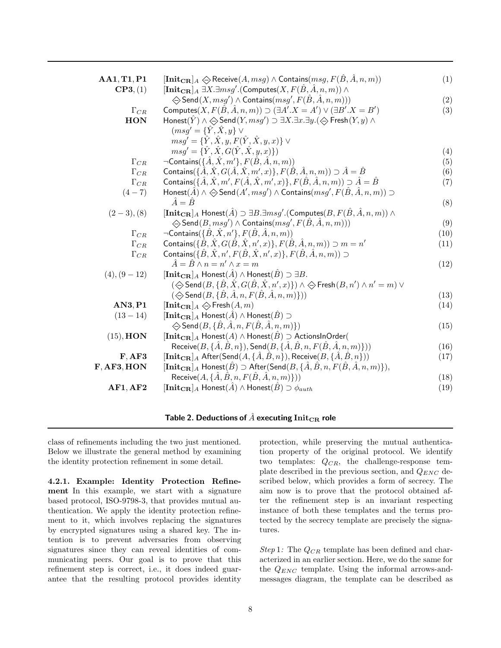| AA1, T1, P1   | $[\mathbf{Init_{CR}}]_A \Leftrightarrow$ Receive $(A, msg) \wedge \mathsf{contains}(msg, F(\hat{B}, \hat{A}, n, m))$                       | (1)  |
|---------------|--------------------------------------------------------------------------------------------------------------------------------------------|------|
| CP3, (1)      | $[\mathbf{Init_{CR}}]_A \ \exists X. \exists msg'.(\mathsf{Computes}(X, F(\hat{B}, \hat{A}, n, m)) \wedge$                                 |      |
|               | $\Leftrightarrow$ Send $(X, msg') \wedge$ Contains $(msg', F(\hat{B}, \hat{A}, n, m)))$                                                    | (2)  |
| $\Gamma_{CR}$ | Computes $(X, F(\hat{B}, \hat{A}, n, m)) \supset (\exists A'.X = A') \vee (\exists B'.X = B')$                                             | (3)  |
| <b>HON</b>    | Honest $(\hat{Y}) \wedge \Leftrightarrow$ Send $(Y, msg') \supset \exists X. \exists x. \exists y. (\Leftrightarrow$ Fresh $(Y, y) \wedge$ |      |
|               | $(msg' = {\hat{Y}, \hat{X}, y} \vee$                                                                                                       |      |
|               | $msg' = \{\hat{Y}, \hat{X}, y, F(\hat{Y}, \hat{X}, y, x)\}\vee$                                                                            |      |
|               | $msg' = {\hat{Y}, \hat{X}, G(\hat{Y}, \hat{X}, y, x)}$                                                                                     | (4)  |
| $\Gamma_{CR}$ | $\neg$ Contains $(\{\hat{A}, \hat{X}, m'\}, F(\hat{B}, \hat{A}, n, m))$                                                                    | (5)  |
| $\Gamma_{CR}$ | Contains $(\{\hat{A}, \hat{X}, G(\hat{A}, \hat{X}, m', x)\}, F(\hat{B}, \hat{A}, n, m)) \supset \hat{A} = \hat{B}$                         | (6)  |
| $\Gamma_{CR}$ | Contains $(\{\hat{A}, \hat{X}, m', F(\hat{A}, \hat{X}, m', x)\}, F(\hat{B}, \hat{A}, n, m)) \supset \hat{A} = \hat{B}$                     | (7)  |
| $(4 - 7)$     | Honest $(\hat{A}) \wedge \Leftrightarrow$ Send $(A', msg') \wedge$ Contains $(msg', F(\hat{B}, \hat{A}, n, m)) \supset$                    |      |
|               | $\hat{A} = \hat{B}$                                                                                                                        | (8)  |
| $(2-3), (8)$  | $[\mathbf{Init}_{CR}]_A$ Honest $(\hat{A}) \supset \exists B.\exists msg'.(\mathsf{Computes}(B,F(\hat{B},\hat{A},n,m)) \wedge$             |      |
|               | $\Leftrightarrow$ Send $(B, msg') \wedge$ Contains $(msg', F(\hat{B}, \hat{A}, n, m)))$                                                    | (9)  |
| $\Gamma_{CR}$ | $\neg$ Contains $(\{\hat{B}, \hat{X}, n'\}, F(\hat{B}, \hat{A}, n, m))$                                                                    | (10) |
| $\Gamma_{CR}$ | Contains $(\{\hat{B}, \hat{X}, G(\hat{B}, \hat{X}, n', x)\}, F(\hat{B}, \hat{A}, n, m)) \supset m = n'$                                    | (11) |
| $\Gamma_{CR}$ | Contains( $\{\hat{B}, \hat{X}, n', F(\hat{B}, \hat{X}, n', x)\}, F(\hat{B}, \hat{A}, n, m)) \supset$                                       |      |
|               | $\hat{A} = \hat{B} \wedge n = n' \wedge x = m$                                                                                             | (12) |
| $(4), (9-12)$ | $[\mathbf{Init}_{CR}]_A$ Honest $(\hat{A}) \wedge$ Honest $(\hat{B}) \supset \exists B$ .                                                  |      |
|               | $(\diamondsuit$ Send $(B, \{ \hat{B}, \hat{X}, G(\hat{B}, \hat{X}, n', x) \}) \wedge \diamondsuit$ Fresh $(B, n') \wedge n' = m$ ) $\vee$  |      |
|               | $(\diamondsuit$ Send $(B, \{\hat{B}, \hat{A}, n, F(\hat{B}, \hat{A}, n, m)\}))$                                                            | (13) |
| AN3, P1       | $[\mathbf{Init}_{\mathbf{CR}}]_A \Leftrightarrow \mathsf{Fresh}(A, m)$                                                                     | (14) |
| $(13-14)$     | $[\mathbf{Init_{CR}}]_A$ Honest $(\hat{A}) \wedge$ Honest $(\hat{B}) \supset$                                                              |      |
|               | $\Leftrightarrow$ Send $(B, \{B, \hat{A}, n, F(\hat{B}, \hat{A}, n, m)\})$                                                                 | (15) |
| $(15)$ , HON  | $[\mathbf{Init}_{CR}]_A$ Honest $(A) \wedge$ Honest $(\hat{B}) \supset$ ActionsInOrder(                                                    |      |
|               | Receive $(B, \{\hat{A}, \hat{B}, n\})$ , Send $(B, \{\hat{A}, \hat{B}, n, F(\hat{B}, \hat{A}, n, m)\})$ )                                  | (16) |
| F, AF3        | $[\mathbf{Init_{CR}}]_A$ After(Send $(A, \{\hat{A}, \hat{B}, n\}),$ Receive $(B, \{\hat{A}, \hat{B}, n\}))$                                | (17) |
| F, AF3, HON   | $[\mathbf{Init_{CR}}]_A$ Honest $(\hat{B}) \supset$ After(Send $(B, \{\hat{A}, \hat{B}, n, F(\hat{B}, \hat{A}, n, m)\}),$                  |      |
|               | Receive $(A, \{A, B, n, F(B, A, n, m)\})$                                                                                                  | (18) |
| AF1, AF2      | $[\mathbf{Init}_{CR}]_A$ Honest $(\hat{A}) \wedge$ Honest $(\hat{B}) \supset \phi_{auth}$                                                  | (19) |
|               |                                                                                                                                            |      |

Table 2. Deductions of  $\hat{A}$  executing Init $_{\text{CR}}$  role

class of refinements including the two just mentioned. Below we illustrate the general method by examining the identity protection refinement in some detail.

4.2.1. Example: Identity Protection Refinement In this example, we start with a signature based protocol, ISO-9798-3, that provides mutual authentication. We apply the identity protection refinement to it, which involves replacing the signatures by encrypted signatures using a shared key. The intention is to prevent adversaries from observing signatures since they can reveal identities of communicating peers. Our goal is to prove that this refinement step is correct, i.e., it does indeed guarantee that the resulting protocol provides identity protection, while preserving the mutual authentication property of the original protocol. We identify two templates:  $Q_{CR}$ , the challenge-response template described in the previous section, and  $Q_{ENC}$  described below, which provides a form of secrecy. The aim now is to prove that the protocol obtained after the refinement step is an invariant respecting instance of both these templates and the terms protected by the secrecy template are precisely the signatures.

Step 1: The  $Q_{CR}$  template has been defined and characterized in an earlier section. Here, we do the same for the  $Q_{ENC}$  template. Using the informal arrows-andmessages diagram, the template can be described as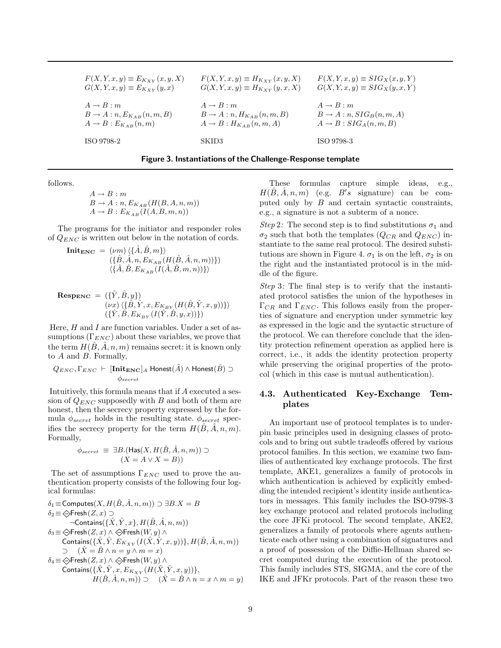| $F(X, Y, x, y) \equiv E_{K_{XY}}(x, y, X)$ | $F(X, Y, x, y) \equiv H_{K_{XY}}(x, y, X)$ | $F(X, Y, x, y) \equiv SIG_X(x, y, Y)$ |
|--------------------------------------------|--------------------------------------------|---------------------------------------|
| $G(X, Y, x, y) \equiv E_{K_{XY}}(y, x)$    | $G(X, Y, x, y) \equiv H_{K_{XY}}(y, x, X)$ | $G(X, Y, x, y) \equiv SIG_X(y, x, Y)$ |
| $A \rightarrow B : m$                      | $A \rightarrow B : m$                      | $A \rightarrow B : m$                 |
| $B \to A : n, E_{K_{AB}}(n,m,B)$           | $B \to A : n, H_{K_{AB}}(n,m,B)$           | $B \to A : n, SIG_B(n,m,A)$           |
| $A \rightarrow B : E_{K_{AB}}(n,m)$        | $A \rightarrow B : H_{K_{AB}}(n,m,A)$      | $A \rightarrow B : SIG_A(n,m,B)$      |
| ISO 9798-2                                 | SKID3                                      | ISO 9798-3                            |

| Figure 3. Instantiations of the Challenge-Response template |  |  |
|-------------------------------------------------------------|--|--|
|                                                             |  |  |

follows.

$$
A \rightarrow B : m
$$
  
\n
$$
B \rightarrow A : n, E_{K_{AB}}(H(B, A, n, m))
$$
  
\n
$$
A \rightarrow B : E_{K_{AB}}(I(A, B, m, n))
$$

The programs for the initiator and responder roles of  $Q_{ENC}$  is written out below in the notation of cords.

$$
\begin{aligned} \mathbf{Init_{ENC}} &= (vm) \langle \{\hat{A}, \hat{B}, m\} \rangle \\ &(\{\hat{B}, \hat{A}, n, E_{K_{AB}}(H(\hat{B}, \hat{A}, n, m))\}) \\ & \langle \{\hat{A}, \hat{B}, E_{K_{AB}}(I(\hat{A}, \hat{B}, m, n))\} \rangle \end{aligned}
$$

$$
\mathbf{Resp}_{\mathbf{ENC}} = (\{\hat{Y}, \hat{B}, y\})
$$

$$
(\nu x) \langle \{\hat{B}, \hat{Y}, x, E_{K_{BY}} (H(\hat{B}, \hat{Y}, x, y))\} \rangle
$$

$$
(\{\hat{Y}, \hat{B}, E_{K_{BY}} (I(\hat{Y}, \hat{B}, y, x))\})
$$

Here,  $H$  and  $I$  are function variables. Under a set of assumptions  $(\Gamma_{ENC})$  about these variables, we prove that the term  $H(\hat{B}, \hat{A}, n, m)$  remains secret: it is known only to A and B. Formally,

$$
Q_{ENC}, \Gamma_{ENC} \vdash [\textbf{Init}_{ENC}]_A \; \textsf{Honest}(\hat{A}) \land \textsf{Honest}(\hat{B}) \supset \phi_{secret}
$$

Intuitively, this formula means that if A executed a session of  $Q_{ENC}$  supposedly with B and both of them are honest, then the secrecy property expressed by the formula  $\phi_{secret}$  holds in the resulting state.  $\phi_{secret}$  specifies the secrecy property for the term  $H(B, A, n, m)$ . Formally,

$$
\phi_{secret} \equiv \exists B. (\mathsf{Has}(X, H(\hat{B}, \hat{A}, n, m)) \supset
$$

$$
(X = A \lor X = B))
$$

The set of assumptions  $\Gamma_{ENC}$  used to prove the authentication property consists of the following four logical formulas:

$$
\begin{array}{ll} \delta_1\!\equiv\!\text{Computes}(X,H(\hat{B},\hat{A},n,m))\supset\exists B.X=B\\ \delta_2\!\equiv\!\bigcirc\!\!\text{Fresh}(Z,x)\supset\\ &\neg\text{contains}(\{\hat{X},\hat{Y},x\},H(\hat{B},\hat{A},n,m))\\ \delta_3\!\equiv\!\bigcirc\!\!\text{Fresh}(Z,x)\wedge\bigcirc\!\!\text{Fresh}(W,y)\wedge\\ &\text{contains}(\{\hat{X},\hat{Y},E_{K_{XY}}(I(\hat{X},\hat{Y},x,y))\},H(\hat{B},\hat{A},n,m))\\ &\supset\quad (\hat{X}=\hat{B}\wedge n=y\wedge m=x)\\ \delta_4\!\equiv\!\bigcirc\!\!\text{Fresh}(Z,x)\wedge\bigcirc\!\!\text{Fresh}(W,y)\wedge\\ &\text{contains}(\{\hat{X},\hat{Y},x,E_{K_{XY}}(H(\hat{X},\hat{Y},x,y))\},\\ &\quad H(\hat{B},\hat{A},n,m))\supset\quad(\hat{X}=\hat{B}\wedge n=x\wedge m=y) \end{array}
$$

These formulas capture simple ideas, e.g.,  $H(\hat{B}, \hat{A}, n, m)$  (e.g.  $B's$  signature) can be computed only by  $B$  and certain syntactic constraints, e.g., a signature is not a subterm of a nonce.

Step 2: The second step is to find substitutions  $\sigma_1$  and  $\sigma_2$  such that both the templates  $(Q_{CR}$  and  $Q_{ENC}$ ) instantiate to the same real protocol. The desired substitutions are shown in Figure 4.  $\sigma_1$  is on the left,  $\sigma_2$  is on the right and the instantiated protocol is in the middle of the figure.

Step 3: The final step is to verify that the instantiated protocol satisfies the union of the hypotheses in  $\Gamma_{CR}$  and  $\Gamma_{ENC}$ . This follows easily from the properties of signature and encryption under symmetric key as expressed in the logic and the syntactic structure of the protocol. We can therefore conclude that the identity protection refinement operation as applied here is correct, i.e., it adds the identity protection property while preserving the original properties of the protocol (which in this case is mutual authentication).

# 4.3. Authenticated Key-Exchange Templates

An important use of protocol templates is to underpin basic principles used in designing classes of protocols and to bring out subtle tradeoffs offered by various protocol families. In this section, we examine two families of authenticated key exchange protocols. The first template, AKE1, generalizes a family of protocols in which authentication is achieved by explicitly embedding the intended recipient's identity inside authenticators in messages. This family includes the ISO-9798-3 key exchange protocol and related protocols including the core JFKi protocol. The second template, AKE2, generalizes a family of protocols where agents authenticate each other using a combination of signatures and a proof of possession of the Diffie-Hellman shared secret computed during the execution of the protocol. This family includes STS, SIGMA, and the core of the IKE and JFKr protocols. Part of the reason these two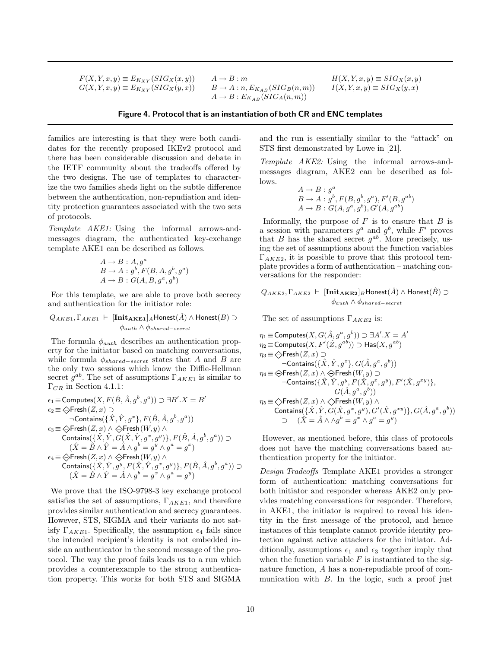$\begin{array}{ll} F(X,Y,x,y) \equiv E_{K_{XY}}(SIG_X(x,y)) & A \rightarrow B : m \\ G(X,Y,x,y) \equiv E_{K_{XY}}(SIG_X(y,x)) & B \rightarrow A : n, E_{K_{AB}}(SIG_B(n,m)) \end{array}$  $G(X, Y, x, y) \equiv E_{K_{XY}}(SIG_X(y, x))$ 

 $A \rightarrow B : E_{K_{AB}}(SIG_A(n,m))$ 

$$
H(X, Y, x, y) \equiv SIG_X(x, y)
$$
  

$$
I(X, Y, x, y) \equiv SIG_X(y, x)
$$

#### Figure 4. Protocol that is an instantiation of both CR and ENC templates

families are interesting is that they were both candidates for the recently proposed IKEv2 protocol and there has been considerable discussion and debate in the IETF community about the tradeoffs offered by the two designs. The use of templates to characterize the two families sheds light on the subtle difference between the authentication, non-repudiation and identity protection guarantees associated with the two sets of protocols.

Template AKE1: Using the informal arrows-andmessages diagram, the authenticated key-exchange template AKE1 can be described as follows.

$$
A \rightarrow B : A, ga
$$
  
\n
$$
B \rightarrow A : gb, F(B, A, gb, ga)
$$
  
\n
$$
A \rightarrow B : G(A, B, ga, gb)
$$

For this template, we are able to prove both secrecy and authentication for the initiator role:

 $Q_{AKE1}, \Gamma_{AKE1}$  ⊢  $[\mathbf{Init}_{AKE1}]_A$ Honest $(\hat{A}) \wedge$  Honest $(B) \supset$  $\phi_{auth} \wedge \phi_{shared-secret}$ 

The formula  $\phi_{auth}$  describes an authentication property for the initiator based on matching conversations, while formula  $\phi_{shared-secret}$  states that A and B are the only two sessions which know the Diffie-Hellman secret  $g^{ab}$ . The set of assumptions  $\Gamma_{AKE1}$  is similar to  $\Gamma_{CR}$  in Section 4.1.1:

$$
\epsilon_1 \equiv \text{Computes}(X,F(\hat{B},\hat{A},g^b,g^a)) \supset \exists B'.X = B'\\ \epsilon_2 \equiv \bigcirc \text{Fresh}(Z,x) \supset \\ \neg \text{contains}(\{\hat{X},\hat{Y},g^x\},F(\hat{B},\hat{A},g^b,g^a))\\ \epsilon_3 \equiv \bigcirc \text{Fresh}(Z,x) \land \bigcirc \text{Fresh}(W,y) \land\\ \text{contains}(\{\hat{X},\hat{Y},G(\hat{X},\hat{Y},g^x,g^y)\},F(\hat{B},\hat{A},g^b,g^a)) \supset \\ (\hat{X} = \hat{B} \land \hat{Y} = \hat{A} \land g^b = g^y \land g^a = g^x)\\ \epsilon_4 \equiv \bigcirc \text{Fresh}(Z,x) \land \bigcirc \text{Fresh}(W,y) \land\\ \text{contains}(\{\hat{X},\hat{Y},g^y,F(\hat{X},\hat{Y},g^x,g^y)\},F(\hat{B},\hat{A},g^b,g^a)) \supset \\ (\hat{X} = \hat{B} \land \hat{Y} = \hat{A} \land g^b = g^x \land g^a = g^y)
$$

We prove that the ISO-9798-3 key exchange protocol satisfies the set of assumptions,  $\Gamma_{AKE1}$ , and therefore provides similar authentication and secrecy guarantees. However, STS, SIGMA and their variants do not satisfy  $\Gamma_{AKE1}$ . Specifically, the assumption  $\epsilon_4$  fails since the intended recipient's identity is not embedded inside an authenticator in the second message of the protocol. The way the proof fails leads us to a run which provides a counterexample to the strong authentication property. This works for both STS and SIGMA

and the run is essentially similar to the "attack" on STS first demonstrated by Lowe in [21].

Template AKE2: Using the informal arrows-andmessages diagram, AKE2 can be described as follows.

$$
A \rightarrow B : g^a
$$
  
\n
$$
B \rightarrow A : g^b, F(B, g^b, g^a), F'(B, g^{ab})
$$
  
\n
$$
A \rightarrow B : G(A, g^a, g^b), G'(A, g^{ab})
$$

Informally, the purpose of  $F$  is to ensure that  $B$  is a session with parameters  $g^a$  and  $g^b$ , while F' proves that B has the shared secret  $g^{ab}$ . More precisely, using the set of assumptions about the function variables  $\Gamma_{AKE2}$ , it is possible to prove that this protocol template provides a form of authentication – matching conversations for the responder:

 $Q_{AKE2}, \Gamma_{AKE2} \vdash \frac{[\textbf{Init}_{\textbf{AKE2}}]_B\textsf{Honest}(\hat{A})}{\wedge \textsf{Honest}(\hat{B})}$  $\phi_{auth} \land \phi_{shared-secret}$ 

The set of assumptions  $\Gamma_{AKE2}$  is:

η<sup>1</sup> ≡Computes(X, G(A, g ˆ <sup>a</sup> , g b )) ⊃ ∃A ′ .X = A ′ η<sup>2</sup> ≡Computes(X, F′ (Z, g ˆ ab)) ⊃ Has(X, gab) η<sup>3</sup> ≡ <sup>Q</sup> Fresh(Z, x) ⊃ ¬Contains({X, ˆ Y , g ˆ <sup>x</sup> }, G(A, g ˆ <sup>a</sup> , g b )) η<sup>4</sup> ≡ <sup>Q</sup> Fresh(Z, x) ∧ <sup>Q</sup> Fresh(W, y) ⊃ ¬Contains({X, ˆ Y , g ˆ <sup>y</sup> , F(X, g ˆ <sup>x</sup> , g<sup>y</sup> ), F′ (X, g ˆ xy)}, G(A, g ˆ <sup>a</sup> , g b )) η<sup>5</sup> ≡ <sup>Q</sup> Fresh(Z, x) ∧ <sup>Q</sup> Fresh(W, y) ∧ Contains({X, ˆ Y , G ˆ (X, g ˆ <sup>x</sup> , g<sup>y</sup> ), G′ (X, g ˆ xy)}, G(A, g ˆ <sup>a</sup> , g b )) ⊃ (Xˆ = Aˆ ∧ ∧g <sup>b</sup> = g <sup>x</sup> ∧ g <sup>a</sup> = g y )

However, as mentioned before, this class of protocols does not have the matching conversations based authentication property for the initiator.

Design Tradeoffs Template AKE1 provides a stronger form of authentication: matching conversations for both initiator and responder whereas AKE2 only provides matching conversations for responder. Therefore, in AKE1, the initiator is required to reveal his identity in the first message of the protocol, and hence instances of this template cannot provide identity protection against active attackers for the initiator. Additionally, assumptions  $\epsilon_1$  and  $\epsilon_3$  together imply that when the function variable  $F$  is instantiated to the signature function, A has a non-repudiable proof of communication with B. In the logic, such a proof just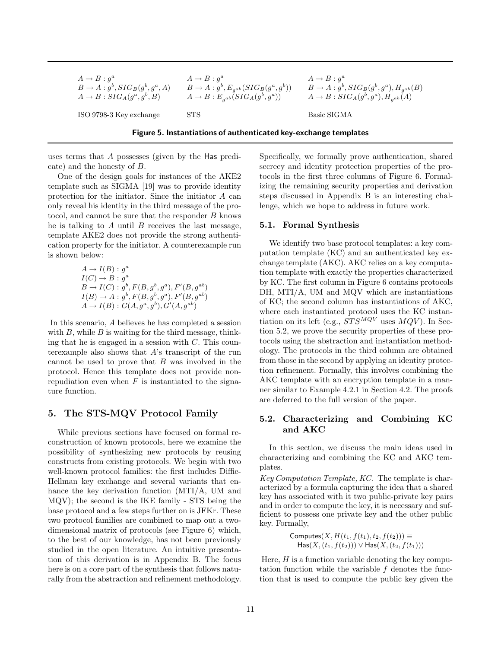| $A \rightarrow B : q^a$                  | $A \rightarrow B : a^a$                               | $A \rightarrow B : a^a$                            |
|------------------------------------------|-------------------------------------------------------|----------------------------------------------------|
| $B \to A : g^b, SIG_B(g^b, g^a, A)$      | $B \to A : g^b, E_{q^{ab}}(SIG_B(g^a, g^b))$          | $B \to A : g^b, SIG_B(g^b, g^a), H_{a^{ab}}(B)$    |
| $A \rightarrow B$ : $SIG_A(g^a, g^b, B)$ | $A \rightarrow B : E_{a^{ab}}(SIG_{A}(g^{b}, g^{a}))$ | $A \rightarrow B : SIG_A(g^b, g^a), H_{a^{ab}}(A)$ |
| ISO 9798-3 Key exchange                  | STS.                                                  | Basic SIGMA                                        |

Figure 5. Instantiations of authenticated key-exchange templates

uses terms that A possesses (given by the Has predi-

cate) and the honesty of B. One of the design goals for instances of the AKE2 template such as SIGMA [19] was to provide identity protection for the initiator. Since the initiator A can only reveal his identity in the third message of the protocol, and cannot be sure that the responder  $B$  knows he is talking to  $A$  until  $B$  receives the last message, template AKE2 does not provide the strong authentication property for the initiator. A counterexample run is shown below:

$$
A \to I(B) : g^{a}
$$
  
\n
$$
I(C) \to B : g^{a}
$$
  
\n
$$
B \to I(C) : g^{b}, F(B, g^{b}, g^{a}), F'(B, g^{ab})
$$
  
\n
$$
I(B) \to A : g^{b}, F(B, g^{b}, g^{a}), F'(B, g^{ab})
$$
  
\n
$$
A \to I(B) : G(A, g^{a}, g^{b}), G'(A, g^{ab})
$$

In this scenario, A believes he has completed a session with  $B$ , while  $B$  is waiting for the third message, thinking that he is engaged in a session with  $C$ . This counterexample also shows that A's transcript of the run cannot be used to prove that B was involved in the protocol. Hence this template does not provide nonrepudiation even when  $F$  is instantiated to the signature function.

# 5. The STS-MQV Protocol Family

While previous sections have focused on formal reconstruction of known protocols, here we examine the possibility of synthesizing new protocols by reusing constructs from existing protocols. We begin with two well-known protocol families: the first includes Diffie-Hellman key exchange and several variants that enhance the key derivation function (MTI/A, UM and MQV); the second is the IKE family - STS being the base protocol and a few steps further on is JFKr. These two protocol families are combined to map out a twodimensional matrix of protocols (see Figure 6) which, to the best of our knowledge, has not been previously studied in the open literature. An intuitive presentation of this derivation is in Appendix B. The focus here is on a core part of the synthesis that follows naturally from the abstraction and refinement methodology.

Specifically, we formally prove authentication, shared secrecy and identity protection properties of the protocols in the first three columns of Figure 6. Formalizing the remaining security properties and derivation steps discussed in Appendix B is an interesting challenge, which we hope to address in future work.

#### 5.1. Formal Synthesis

We identify two base protocol templates: a key computation template (KC) and an authenticated key exchange template (AKC). AKC relies on a key computation template with exactly the properties characterized by KC. The first column in Figure 6 contains protocols DH, MTI/A, UM and MQV which are instantiations of KC; the second column has instantiations of AKC, where each instantiated protocol uses the KC instantiation on its left (e.g.,  $STS^{MQV}$  uses  $MQV$ ). In Section 5.2, we prove the security properties of these protocols using the abstraction and instantiation methodology. The protocols in the third column are obtained from those in the second by applying an identity protection refinement. Formally, this involves combining the AKC template with an encryption template in a manner similar to Example 4.2.1 in Section 4.2. The proofs are deferred to the full version of the paper.

### 5.2. Characterizing and Combining KC and AKC

In this section, we discuss the main ideas used in characterizing and combining the KC and AKC templates.

Key Computation Template, KC. The template is characterized by a formula capturing the idea that a shared key has associated with it two public-private key pairs and in order to compute the key, it is necessary and sufficient to possess one private key and the other public key. Formally,

> Computes $(X, H(t_1, f(t_1), t_2, f(t_2))) \equiv$  $\textsf{Has}(X, (t_1, f(t_2))) \vee \textsf{Has}(X, (t_2, f(t_1)))$

Here,  $H$  is a function variable denoting the key computation function while the variable  $f$  denotes the function that is used to compute the public key given the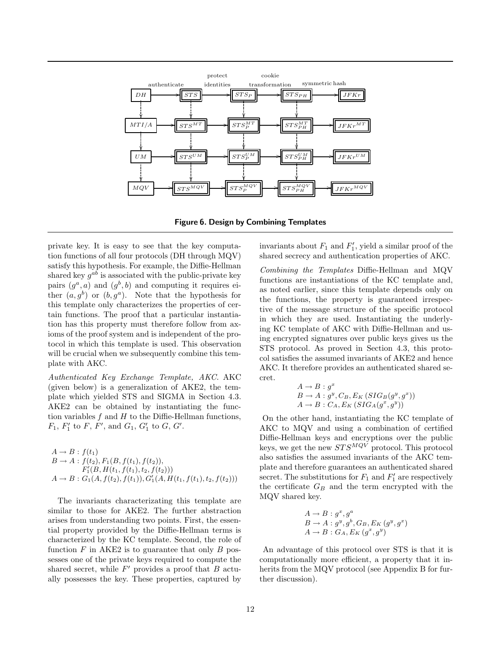

Figure 6. Design by Combining Templates

private key. It is easy to see that the key computation functions of all four protocols (DH through MQV) satisfy this hypothesis. For example, the Diffie-Hellman shared key  $g^{ab}$  is associated with the public-private key pairs  $(g^a, a)$  and  $(g^b, b)$  and computing it requires either  $(a, g^b)$  or  $(b, g^a)$ . Note that the hypothesis for this template only characterizes the properties of certain functions. The proof that a particular instantiation has this property must therefore follow from axioms of the proof system and is independent of the protocol in which this template is used. This observation will be crucial when we subsequently combine this template with AKC.

Authenticated Key Exchange Template, AKC. AKC (given below) is a generalization of AKE2, the template which yielded STS and SIGMA in Section 4.3. AKE2 can be obtained by instantiating the function variables  $f$  and  $H$  to the Diffie-Hellman functions,  $F_1, F'_1$  to  $F, F'$ , and  $G_1, G'_1$  to  $G, G'$ .

 $A \rightarrow B$ :  $f(t_1)$  $B \to A : f(t_2), F_1(B, f(t_1), f(t_2)),$  $F_1(B,H(t_1,f(t_1),t_2,f(t_2)))$  $A \rightarrow B : G_1(A, f(t_2), f(t_1)), G'_1(A, H(t_1, f(t_1), t_2, f(t_2)))$ 

The invariants characterizating this template are similar to those for AKE2. The further abstraction arises from understanding two points. First, the essential property provided by the Diffie-Hellman terms is characterized by the KC template. Second, the role of function  $F$  in AKE2 is to guarantee that only  $B$  possesses one of the private keys required to compute the shared secret, while  $F'$  provides a proof that  $B$  actually possesses the key. These properties, captured by

invariants about  $F_1$  and  $F'_1$ , yield a similar proof of the shared secrecy and authentication properties of AKC.

Combining the Templates Diffie-Hellman and MQV functions are instantiations of the KC template and, as noted earlier, since this template depends only on the functions, the property is guaranteed irrespective of the message structure of the specific protocol in which they are used. Instantiating the underlying KC template of AKC with Diffie-Hellman and using encrypted signatures over public keys gives us the STS protocol. As proved in Section 4.3, this protocol satisfies the assumed invariants of AKE2 and hence AKC. It therefore provides an authenticated shared secret.

$$
A \rightarrow B : g^x
$$
  
\n
$$
B \rightarrow A : g^y, C_B, E_K(SIG_B(g^y, g^x))
$$
  
\n
$$
A \rightarrow B : C_A, E_K(SIG_A(g^x, g^y))
$$

On the other hand, instantiating the KC template of AKC to MQV and using a combination of certified Diffie-Hellman keys and encryptions over the public keys, we get the new  $STS^{MQV}$  protocol. This protocol also satisfies the assumed invariants of the AKC template and therefore guarantees an authenticated shared secret. The substitutions for  $F_1$  and  $F'_1$  are respectively the certificate  $G_B$  and the term encrypted with the MQV shared key.

$$
A \rightarrow B : g^x, g^a
$$
  
\n
$$
B \rightarrow A : g^y, g^b, G_B, E_K(g^y, g^x)
$$
  
\n
$$
A \rightarrow B : G_A, E_K(g^x, g^y)
$$

An advantage of this protocol over STS is that it is computationally more efficient, a property that it inherits from the MQV protocol (see Appendix B for further discussion).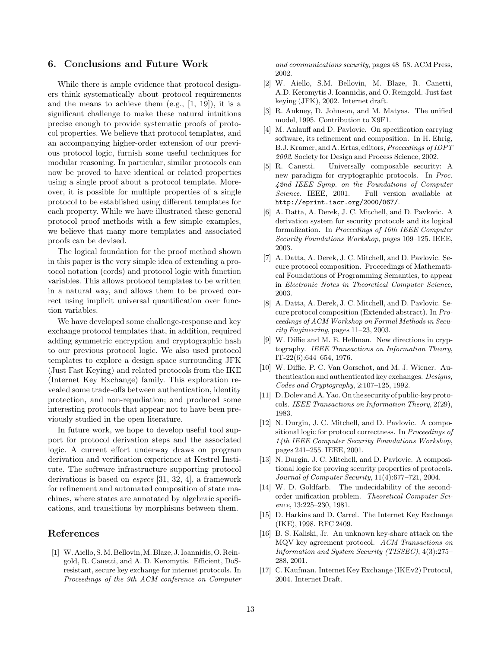### 6. Conclusions and Future Work

While there is ample evidence that protocol designers think systematically about protocol requirements and the means to achieve them  $(e.g., [1, 19]),$  it is a significant challenge to make these natural intuitions precise enough to provide systematic proofs of protocol properties. We believe that protocol templates, and an accompanying higher-order extension of our previous protocol logic, furnish some useful techniques for modular reasoning. In particular, similar protocols can now be proved to have identical or related properties using a single proof about a protocol template. Moreover, it is possible for multiple properties of a single protocol to be established using different templates for each property. While we have illustrated these general protocol proof methods with a few simple examples, we believe that many more templates and associated proofs can be devised.

The logical foundation for the proof method shown in this paper is the very simple idea of extending a protocol notation (cords) and protocol logic with function variables. This allows protocol templates to be written in a natural way, and allows them to be proved correct using implicit universal quantification over function variables.

We have developed some challenge-response and key exchange protocol templates that, in addition, required adding symmetric encryption and cryptographic hash to our previous protocol logic. We also used protocol templates to explore a design space surrounding JFK (Just Fast Keying) and related protocols from the IKE (Internet Key Exchange) family. This exploration revealed some trade-offs between authentication, identity protection, and non-repudiation; and produced some interesting protocols that appear not to have been previously studied in the open literature.

In future work, we hope to develop useful tool support for protocol derivation steps and the associated logic. A current effort underway draws on program derivation and verification experience at Kestrel Institute. The software infrastructure supporting protocol derivations is based on especs [31, 32, 4], a framework for refinement and automated composition of state machines, where states are annotated by algebraic specifications, and transitions by morphisms between them.

#### References

[1] W. Aiello, S. M. Bellovin, M. Blaze, J. Ioannidis, O. Reingold, R. Canetti, and A. D. Keromytis. Efficient, DoSresistant, secure key exchange for internet protocols. In Proceedings of the 9th ACM conference on Computer and communications security, pages 48–58. ACM Press, 2002.

- [2] W. Aiello, S.M. Bellovin, M. Blaze, R. Canetti, A.D. Keromytis J. Ioannidis, and O. Reingold. Just fast keying (JFK), 2002. Internet draft.
- [3] R. Ankney, D. Johnson, and M. Matyas. The unified model, 1995. Contribution to X9F1.
- [4] M. Anlauff and D. Pavlovic. On specification carrying software, its refinement and composition. In H. Ehrig, B.J. Kramer, and A. Ertas, editors, Proceedings of IDPT 2002. Society for Design and Process Science, 2002.
- [5] R. Canetti. Universally composable security: A new paradigm for cryptographic protocols. In Proc. 42nd IEEE Symp. on the Foundations of Computer Science. IEEE, 2001. Full version available at http://eprint.iacr.org/2000/067/.
- [6] A. Datta, A. Derek, J. C. Mitchell, and D. Pavlovic. A derivation system for security protocols and its logical formalization. In Proceedings of 16th IEEE Computer Security Foundations Workshop, pages 109–125. IEEE, 2003.
- [7] A. Datta, A. Derek, J. C. Mitchell, and D. Pavlovic. Secure protocol composition. Proceedings of Mathematical Foundations of Programming Semantics, to appear in Electronic Notes in Theoretical Computer Science, 2003.
- [8] A. Datta, A. Derek, J. C. Mitchell, and D. Pavlovic. Secure protocol composition (Extended abstract). In Proceedings of ACM Workshop on Formal Methods in Security Engineering, pages 11–23, 2003.
- [9] W. Diffie and M. E. Hellman. New directions in cryptography. IEEE Transactions on Information Theory, IT-22(6):644–654, 1976.
- [10] W. Diffie, P. C. Van Oorschot, and M. J. Wiener. Authentication and authenticated key exchanges. Designs, Codes and Cryptography, 2:107–125, 1992.
- [11] D. Dolev and A. Yao. On the security of public-key protocols. IEEE Transactions on Information Theory, 2(29), 1983.
- [12] N. Durgin, J. C. Mitchell, and D. Pavlovic. A compositional logic for protocol correctness. In Proceedings of 14th IEEE Computer Security Foundations Workshop, pages 241–255. IEEE, 2001.
- [13] N. Durgin, J. C. Mitchell, and D. Pavlovic. A compositional logic for proving security properties of protocols. Journal of Computer Security, 11(4):677–721, 2004.
- [14] W. D. Goldfarb. The undecidability of the secondorder unification problem. Theoretical Computer Science, 13:225–230, 1981.
- [15] D. Harkins and D. Carrel. The Internet Key Exchange (IKE), 1998. RFC 2409.
- [16] B. S. Kaliski, Jr. An unknown key-share attack on the MQV key agreement protocol. ACM Transactions on Information and System Security (TISSEC), 4(3):275– 288, 2001.
- [17] C. Kaufman. Internet Key Exchange (IKEv2) Protocol, 2004. Internet Draft.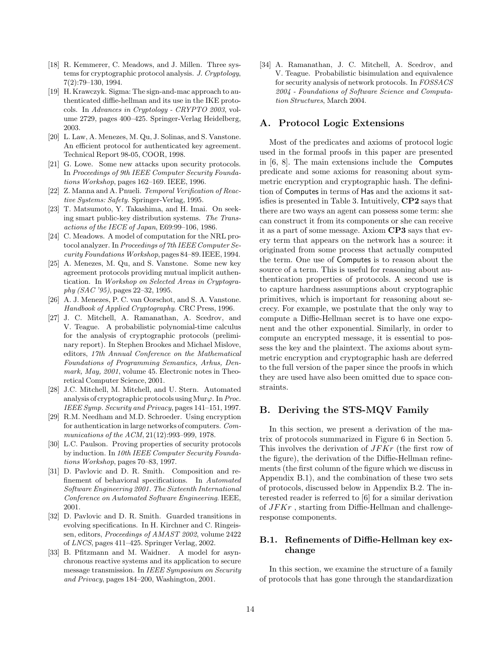- [18] R. Kemmerer, C. Meadows, and J. Millen. Three systems for cryptographic protocol analysis. J. Cryptology, 7(2):79–130, 1994.
- [19] H. Krawczyk. Sigma: The sign-and-mac approach to authenticated diffie-hellman and its use in the IKE protocols. In Advances in Cryptology - CRYPTO 2003, volume 2729, pages 400–425. Springer-Verlag Heidelberg, 2003.
- [20] L. Law, A. Menezes, M. Qu, J. Solinas, and S. Vanstone. An efficient protocol for authenticated key agreement. Technical Report 98-05, COOR, 1998.
- [21] G. Lowe. Some new attacks upon security protocols. In Proceedings of 9th IEEE Computer Security Foundations Workshop, pages 162–169. IEEE, 1996.
- [22] Z. Manna and A. Pnueli. Temporal Verification of Reactive Systems: Safety. Springer-Verlag, 1995.
- [23] T. Matsumoto, Y. Takashima, and H. Imai. On seeking smart public-key distribution systems. The Transactions of the IECE of Japan, E69:99–106, 1986.
- [24] C. Meadows. A model of computation for the NRL protocol analyzer. In Proceedings of 7th IEEE Computer Security Foundations Workshop, pages 84–89. IEEE, 1994.
- [25] A. Menezes, M. Qu, and S. Vanstone. Some new key agreement protocols providing mutual implicit authentication. In Workshop on Selected Areas in Cryptography (SAC '95), pages 22–32, 1995.
- [26] A. J. Menezes, P. C. van Oorschot, and S. A. Vanstone. Handbook of Applied Cryptography. CRC Press, 1996.
- [27] J. C. Mitchell, A. Ramanathan, A. Scedrov, and V. Teague. A probabilistic polynomial-time calculus for the analysis of cryptographic protocols (preliminary report). In Stephen Brookes and Michael Mislove, editors, 17th Annual Conference on the Mathematical Foundations of Programming Semantics, Arhus, Denmark, May, 2001, volume 45. Electronic notes in Theoretical Computer Science, 2001.
- [28] J.C. Mitchell, M. Mitchell, and U. Stern. Automated analysis of cryptographic protocols using Mur $\varphi$ . In Proc. IEEE Symp. Security and Privacy, pages 141–151, 1997.
- [29] R.M. Needham and M.D. Schroeder. Using encryption for authentication in large networks of computers. Communications of the ACM, 21(12):993–999, 1978.
- [30] L.C. Paulson. Proving properties of security protocols by induction. In 10th IEEE Computer Security Foundations Workshop, pages 70–83, 1997.
- [31] D. Pavlovic and D. R. Smith. Composition and refinement of behavioral specifications. In Automated Software Engineering 2001. The Sixteenth International Conference on Automated Software Engineering. IEEE, 2001.
- [32] D. Pavlovic and D. R. Smith. Guarded transitions in evolving specifications. In H. Kirchner and C. Ringeissen, editors, Proceedings of AMAST 2002, volume 2422 of LNCS, pages 411–425. Springer Verlag, 2002.
- [33] B. Pfitzmann and M. Waidner. A model for asynchronous reactive systems and its application to secure message transmission. In IEEE Symposium on Security and Privacy, pages 184–200, Washington, 2001.

[34] A. Ramanathan, J. C. Mitchell, A. Scedrov, and V. Teague. Probabilistic bisimulation and equivalence for security analysis of network protocols. In FOSSACS 2004 - Foundations of Software Science and Computation Structures, March 2004.

# A. Protocol Logic Extensions

Most of the predicates and axioms of protocol logic used in the formal proofs in this paper are presented in [6, 8]. The main extensions include the Computes predicate and some axioms for reasoning about symmetric encryption and cryptographic hash. The definition of Computes in terms of Has and the axioms it satisfies is presented in Table 3. Intuitively, CP2 says that there are two ways an agent can possess some term: she can construct it from its components or she can receive it as a part of some message. Axiom CP3 says that every term that appears on the network has a source: it originated from some process that actually computed the term. One use of Computes is to reason about the source of a term. This is useful for reasoning about authentication properties of protocols. A second use is to capture hardness assumptions about cryptographic primitives, which is important for reasoning about secrecy. For example, we postulate that the only way to compute a Diffie-Hellman secret is to have one exponent and the other exponential. Similarly, in order to compute an encrypted message, it is essential to possess the key and the plaintext. The axioms about symmetric encryption and cryptographic hash are deferred to the full version of the paper since the proofs in which they are used have also been omitted due to space constraints.

# B. Deriving the STS-MQV Family

In this section, we present a derivation of the matrix of protocols summarized in Figure 6 in Section 5. This involves the derivation of JFKr (the first row of the figure), the derivation of the Diffie-Hellman refinements (the first column of the figure which we discuss in Appendix B.1), and the combination of these two sets of protocols, discussed below in Appendix B.2. The interested reader is referred to [6] for a similar derivation of JFKr , starting from Diffie-Hellman and challengeresponse components.

# B.1. Refinements of Diffie-Hellman key exchange

In this section, we examine the structure of a family of protocols that has gone through the standardization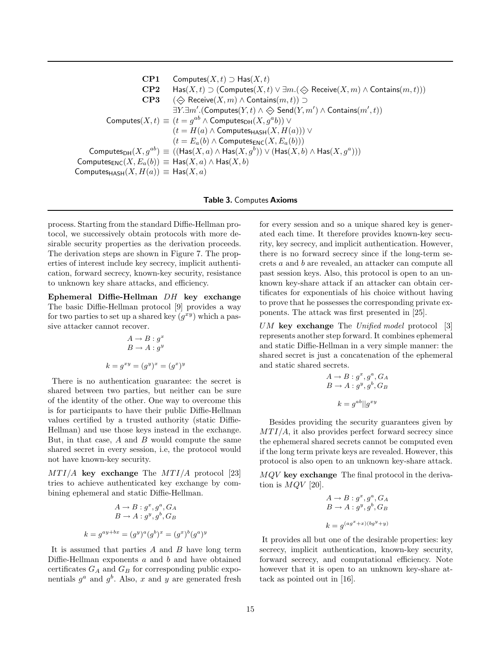CP1 Computes( $X, t$ )  $\supset$  Has( $X, t$ ) CP2 Has $(X, t) \supset ($ Computes $(X, t) \vee \exists m. (\Leftrightarrow$  Receive $(X, m) \wedge$  Contains $(m, t))$ ) CP3 ( $\Leftrightarrow$  Receive(X, m) ∧ Contains(m, t)) ⊃  $\exists Y. \exists m'. (Computes(Y,t) \land \Leftrightarrow \mathsf{Send}(Y,m') \land \mathsf{contains}(m',t))$ Computes $(X,t) \equiv (t = g^{ab} \wedge \text{Computes}_{\text{DH}}(X,g^a b)) \vee$  $(t = H(a) \wedge \text{Computes}_{\text{HASH}}(X, H(a))) \vee$  $(t = E_a(b) \wedge \text{Computes}_{\text{ENC}}(X, E_a(b)))$ Computes $\mathsf{DH}(X,g^{ab}) \equiv ((\mathsf{Has}(X,a) \land \mathsf{Has}(X,g^b)) \lor (\mathsf{Has}(X,b) \land \mathsf{Has}(X,g^a)))$ Computes $_{\text{ENC}}(X, E_a(b)) \equiv$  Has $(X, a) \wedge$  Has $(X, b)$ Computes $H_{\text{ASH}}(X, H(a)) \equiv H_{\text{AS}}(X, a)$ 

Table 3. Computes Axioms

process. Starting from the standard Diffie-Hellman protocol, we successively obtain protocols with more desirable security properties as the derivation proceeds. The derivation steps are shown in Figure 7. The properties of interest include key secrecy, implicit authentication, forward secrecy, known-key security, resistance to unknown key share attacks, and efficiency.

Ephemeral Diffie-Hellman DH key exchange The basic Diffie-Hellman protocol [9] provides a way for two parties to set up a shared key  $(g^{xy})$  which a passive attacker cannot recover.

$$
A \to B : gx
$$
  

$$
B \to A : gy
$$
  

$$
k = gxy = (gy)x = (gx)y
$$

There is no authentication guarantee: the secret is shared between two parties, but neither can be sure of the identity of the other. One way to overcome this is for participants to have their public Diffie-Hellman values certified by a trusted authority (static Diffie-Hellman) and use those keys instead in the exchange. But, in that case,  $A$  and  $B$  would compute the same shared secret in every session, i.e, the protocol would not have known-key security.

 $MTI/A$  key exchange The  $MTI/A$  protocol [23] tries to achieve authenticated key exchange by combining ephemeral and static Diffie-Hellman.

$$
A \to B : g^x, g^a, G_A
$$
  

$$
B \to A : g^y, g^b, G_B
$$
  

$$
k = g^{ay + bx} = (g^y)^a (g^b)^x = (g^x)^b (g^a)^y
$$

It is assumed that parties  $A$  and  $B$  have long term Diffie-Hellman exponents  $a$  and  $b$  and have obtained certificates  $G_A$  and  $G_B$  for corresponding public exponentials  $g^a$  and  $g^b$ . Also, x and y are generated fresh

for every session and so a unique shared key is generated each time. It therefore provides known-key security, key secrecy, and implicit authentication. However, there is no forward secrecy since if the long-term secrets a and b are revealed, an attacker can compute all past session keys. Also, this protocol is open to an unknown key-share attack if an attacker can obtain certificates for exponentials of his choice without having to prove that he possesses the corresponding private exponents. The attack was first presented in [25].

UM key exchange The Unified model protocol  $[3]$ represents another step forward. It combines ephemeral and static Diffie-Hellman in a very simple manner: the shared secret is just a concatenation of the ephemeral and static shared secrets.

$$
A \rightarrow B : g^x, g^a, G_A
$$
  

$$
B \rightarrow A : g^y, g^b, G_B
$$
  

$$
k = g^{ab} || g^{xy}
$$

Besides providing the security guarantees given by  $MTI/A$ , it also provides perfect forward secrecy since the ephemeral shared secrets cannot be computed even if the long term private keys are revealed. However, this protocol is also open to an unknown key-share attack.

MQV key exchange The final protocol in the derivation is  $MQV$  [20].

$$
A \rightarrow B : g^x, g^a, G_A
$$
  

$$
B \rightarrow A : g^y, g^b, G_B
$$
  

$$
k = g^{(ag^x + x)(bg^y + y)}
$$

It provides all but one of the desirable properties: key secrecy, implicit authentication, known-key security, forward secrecy, and computational efficiency. Note however that it is open to an unknown key-share attack as pointed out in [16].